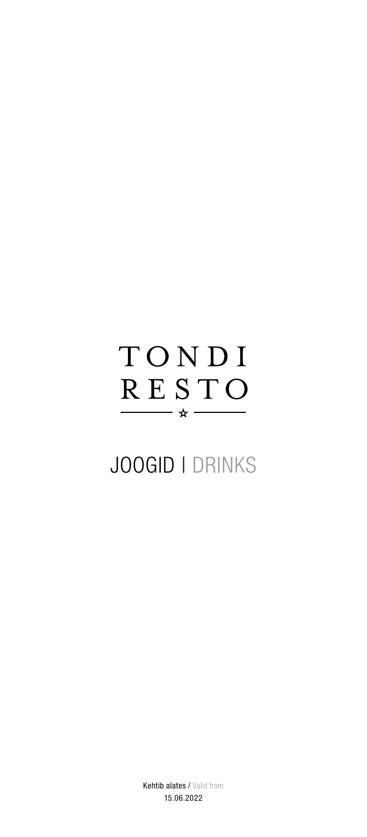# TONDI RESTO - ☆ -

# JOOGID | DRINKS

Kehtib alates / Valid from 15.06.2022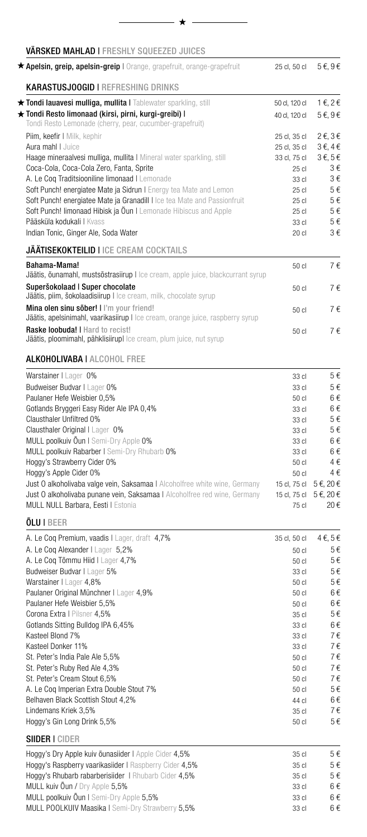| <b>VÄRSKED MAHLAD I FRESHLY SQUEEZED JUICES</b>                                                                   |                |                             |
|-------------------------------------------------------------------------------------------------------------------|----------------|-----------------------------|
| * Apelsin, greip, apelsin-greip   Orange, grapefruit, orange-grapefruit                                           | 25 cl, 50 cl   | $5 \in 9 \in$               |
| <b>KARASTUSJOOGID   REFRESHING DRINKS</b>                                                                         |                |                             |
| ★ Tondi lauavesi mulliga, mullita I Tablewater sparkling, still                                                   | 50 cl, 120 cl  | 1€, 2€                      |
| ★ Tondi Resto limonaad (kirsi, pirni, kurgi-greibi) l<br>Tondi Resto Lemonade (cherry, pear, cucumber-grapefruit) | 40 cl, 120 cl  | 5€, 9€                      |
| Piim, keefir I Milk, kephir                                                                                       | 25 cl, 35 cl   | $2 \epsilon$ , $3 \epsilon$ |
| Aura mahl LJuice                                                                                                  | 25 cl, 35 cl   | $3 \epsilon$ , $4 \epsilon$ |
| Haage mineraalvesi mulliga, mullita I Mineral water sparkling, still                                              | 33 cl, 75 cl   | $3 \epsilon, 5 \epsilon$    |
| Coca-Cola, Coca-Cola Zero, Fanta, Sprite                                                                          | $25$ cl        | 3€                          |
| A. Le Coq Traditsiooniline limonaad   Lemonade                                                                    | 33 cl          | 3€                          |
| Soft Punch! energiatee Mate ja Sidrun I Energy tea Mate and Lemon                                                 | $25$ cl        | 5€                          |
| Soft Punch! energiatee Mate ja Granadill I Ice tea Mate and Passionfruit                                          | $25$ cl        | 5€                          |
| Soft Punch! limonaad Hibisk ja Öun I Lemonade Hibiscus and Apple                                                  | $25$ cl        | 5€                          |
| Pääsküla kodukali   Kvass                                                                                         | 33 cl          | 5€                          |
| Indian Tonic, Ginger Ale, Soda Water                                                                              | $20$ cl        | 3€                          |
| <b>JÄÄTISEKOKTEILID   ICE CREAM COCKTAILS</b>                                                                     |                |                             |
| Bahama-Mama!<br>Jäätis, õunamahl, mustsõstrasiirup I Ice cream, apple juice, blackcurrant syrup                   | 50 cl          | 7€                          |
| Superšokolaad   Super chocolate                                                                                   | 50 cl          | 7€                          |
| Jäätis, piim, šokolaadisiirup I Ice cream, milk, chocolate syrup                                                  |                |                             |
| Mina olen sinu sõber!   I'm your friend!                                                                          | 50 cl          | 7€                          |
| Jäätis, apelsinimahl, vaarikasiirup I Ice cream, orange juice, raspberry syrup                                    |                |                             |
| <b>Raske loobuda!   Hard to recist!</b><br>Jäätis, ploomimahl, pähklisiirupl Ice cream, plum juice, nut syrup     | 50 cl          | 7€                          |
| <b>ALKOHOLIVABA   ALCOHOL FREE</b>                                                                                |                |                             |
| Warstainer I Lager 0%                                                                                             | 33 cl          | 5€                          |
| Budweiser Budvar I Lager 0%                                                                                       | 33 cl          | 5€                          |
| Paulaner Hefe Weisbier 0,5%                                                                                       | $50$ cl        | 6€                          |
| Gotlands Bryggeri Easy Rider Ale IPA 0,4%                                                                         | 33 cl          | 6€                          |
| Clausthaler Unfiltred 0%                                                                                          | 33 cl          | 5€                          |
| Clausthaler Original I Lager 0%                                                                                   | 33 cl          | 5€                          |
| MULL poolkuiv Oun I Semi-Dry Apple 0%                                                                             | 33 cl          | 6€                          |
| MULL poolkuiv Rabarber I Semi-Dry Rhubarb 0%                                                                      | 33 cl          | 6€                          |
| Hoggy's Strawberry Cider 0%                                                                                       | 50 cl          | $4 \in$                     |
| Hoggy's Apple Cider 0%                                                                                            | 50 cl          | 4€                          |
| Just O alkoholivaba valge vein, Saksamaa I Alcoholfree white wine, Germany                                        | 15 cl, 75 cl   | 5€, 20€                     |
| Just O alkoholivaba punane vein, Saksamaa I Alcoholfree red wine, Germany                                         | 15 cl, 75 cl   | 5€, 20€                     |
| MULL NULL Barbara, Eesti I Estonia                                                                                | 75 cl          | 20€                         |
| <b>ÕLU I BEER</b>                                                                                                 |                |                             |
| A. Le Coq Premium, vaadis I Lager, draft 4,7%                                                                     | 35 cl, 50 cl   | 4€, 5€                      |
| A. Le Coq Alexander   Lager 5,2%                                                                                  | 50 cl          | 5€                          |
| A. Le Coq Tõmmu Hiid I Lager 4,7%                                                                                 | 50 cl          | 5€                          |
| Budweiser Budvar I Lager 5%                                                                                       | 33 cl          | 5€<br>5€                    |
| Warstainer I Lager 4,8%<br>Paulaner Original Münchner I Lager 4,9%                                                | 50 cl<br>50 cl | 6€                          |
| Paulaner Hefe Weisbier 5,5%                                                                                       | 50 cl          | 6€                          |
| Corona Extra I Pilsner 4,5%                                                                                       | 35 cl          | 5€                          |
| Gotlands Sitting Bulldog IPA 6,45%                                                                                | 33 cl          | 6€                          |
| Kasteel Blond 7%                                                                                                  | 33 cl          | 7€                          |
| Kasteel Donker 11%                                                                                                | 33 cl          | 7€                          |
| St. Peter's India Pale Ale 5,5%                                                                                   | 50 cl          | 7€                          |
| St. Peter's Ruby Red Ale 4,3%                                                                                     | 50 cl          | 7€                          |
| St. Peter's Cream Stout 6,5%                                                                                      | 50 cl          | 7€                          |
| A. Le Coq Imperian Extra Double Stout 7%                                                                          | 50 cl          | 5€                          |
| Belhaven Black Scottish Stout 4,2%                                                                                | 44 cl          | 6€                          |
| Lindemans Kriek 3,5%<br>Hoggy's Gin Long Drink 5,5%                                                               | 35 cl<br>50 cl | 7€<br>$5 \, \epsilon$       |
| <b>SIIDER I CIDER</b>                                                                                             |                |                             |
| Hoggy's Dry Apple kuiv õunasiider I Apple Cider 4,5%                                                              | 35 cl          | $5 \in$                     |
| Hoggy's Raspberry vaarikasiider I Raspberry Cider 4,5%                                                            | 35 cl          | 5€                          |
| Hoggy's Rhubarb rabarberisiider   Rhubarb Cider 4,5%                                                              | 35 cl          | $5 \in$                     |
| MULL kuiv Õun / Dry Apple 5,5%                                                                                    | 33 cl          | 6€                          |
| MULL poolkuiv Õun I Semi-Dry Apple 5,5%                                                                           | 33 cl          | $6 \in$                     |

 $\star$ 

<code>MULL POOLKUIV</code> Maasika I Semi-Dry Strawberry 5,5%  $33$  cl  $6$   $6$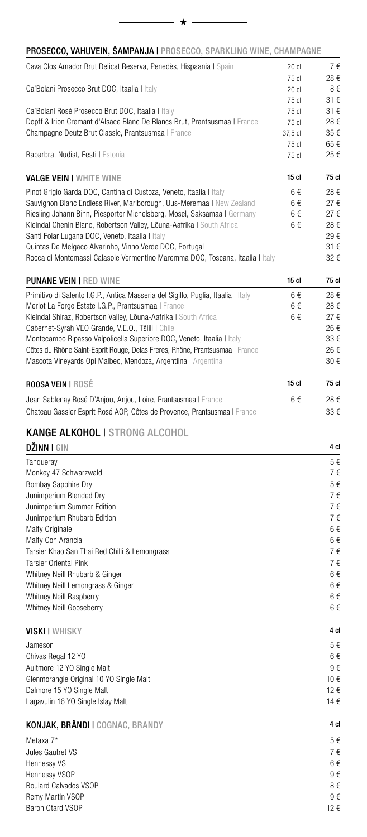#### PROSECCO, VAHUVEIN, ŠAMPANJA | PROSECCO, SPARKLING WINE, CHAMPAGNE

 $\star$   $-$ 

| Cava Clos Amador Brut Delicat Reserva, Penedès, Hispaania I Spain                 | $20$ cl          | 7€<br>28€ |
|-----------------------------------------------------------------------------------|------------------|-----------|
|                                                                                   | 75 cl            |           |
| Ca'Bolani Prosecco Brut DOC, Itaalia I Italy                                      | $20$ cl<br>75 cl | 8€<br>31€ |
| Ca'Bolani Rosé Prosecco Brut DOC, Itaalia I Italy                                 | 75 cl            | 31€       |
| Dopff & Irion Cremant d'Alsace Blanc De Blancs Brut, Prantsusmaa I France         | 75 cl            | 28€       |
| Champagne Deutz Brut Classic, Prantsusmaa   France                                | 37,5 cl          | 35€       |
|                                                                                   | 75 cl            | 65€       |
| Rabarbra, Nudist, Eesti I Estonia                                                 | 75c              | 25€       |
| <b>VALGE VEIN I WHITE WINE</b>                                                    | $15$ cl          | 75 cl     |
| Pinot Grigio Garda DOC, Cantina di Custoza, Veneto, Itaalia I Italy               | 6€               | 28€       |
| Sauvignon Blanc Endless River, Marlborough, Uus-Meremaa I New Zealand             | 6€               | 27€       |
| Riesling Johann Bihn, Piesporter Michelsberg, Mosel, Saksamaa I Germany           | 6€               | 27€       |
| Kleindal Chenin Blanc, Robertson Valley, Lõuna-Aafrika I South Africa             | 6€               | 28€       |
| Santi Folar Lugana DOC, Veneto, Itaalia I Italy                                   |                  | 29€       |
| Quintas De Melgaco Alvarinho, Vinho Verde DOC, Portugal                           |                  | 31€       |
| Rocca di Montemassi Calasole Vermentino Maremma DOC, Toscana, Itaalia I Italy     |                  | 32€       |
| <b>PUNANE VEIN I RED WINE</b>                                                     | 15 <sub>cl</sub> | 75 cl     |
| Primitivo di Salento I.G.P., Antica Masseria del Sigillo, Puglia, Itaalia I Italy | 6€               | 28€       |
| Merlot La Forge Estate I.G.P., Prantsusmaa I France                               | 6€               | 28€       |
| Kleindal Shiraz, Robertson Valley, Lõuna-Aafrika   South Africa                   | 6€               | 27€       |
| Cabernet-Syrah VEO Grande, V.E.O., Tšiili I Chile                                 |                  | 26€       |
| Montecampo Ripasso Valpolicella Superiore DOC, Veneto, Itaalia I Italy            |                  | 33€       |
| Côtes du Rhône Saint-Esprit Rouge, Delas Freres, Rhône, Prantsusmaa I France      |                  | 26€       |
| Mascota Vineyards Opi Malbec, Mendoza, Argentiina I Argentina                     |                  | 30€       |
| ROOSA VEIN   ROSÉ                                                                 | 15 <sub>cl</sub> | 75 cl     |
| Jean Sablenay Rosé D'Anjou, Anjou, Loire, Prantsusmaa   France                    | 6€               | 28€       |
| Chateau Gassier Esprit Rosé AOP, Côtes de Provence, Prantsusmaa I France          |                  | 33€       |
| <b>KANGE ALKOHOL I STRONG ALCOHOL</b>                                             |                  |           |
| <b>DŽINN I GIN</b>                                                                |                  | 4 cl      |
| Tanqueray                                                                         |                  | 5€        |
| Monkey 47 Schwarzwald                                                             |                  | 7€        |
| <b>Bombay Sapphire Dry</b>                                                        |                  | 5€        |
| Junimperium Blended Dry                                                           |                  | 7€        |
| Junimperium Summer Edition                                                        |                  | 7€        |
| Junimperium Rhubarb Edition                                                       |                  | 7€        |
| Malfy Originale                                                                   |                  | 6€        |
| Malfy Con Arancia                                                                 |                  | 6€        |
| Tarsier Khao San Thai Red Chilli & Lemongrass                                     |                  | 7€        |
| <b>Tarsier Oriental Pink</b>                                                      |                  | 7€        |
| Whitney Neill Rhubarb & Ginger                                                    |                  | 6€        |
| Whitney Neill Lemongrass & Ginger                                                 |                  | 6€        |
| Whitney Neill Raspberry                                                           |                  | 6€        |
| Whitney Neill Gooseberry                                                          |                  | 6€        |
| <b>VISKI I</b> WHISKY                                                             |                  | 4 cl      |
| Jameson                                                                           |                  | 5€        |
| Chivas Regal 12 YO                                                                |                  | 6€        |
| Aultmore 12 YO Single Malt                                                        |                  | 9€        |
| Glenmorangie Original 10 YO Single Malt                                           |                  | 10€       |
| Dalmore 15 YO Single Malt                                                         |                  | 12€       |
| Lagavulin 16 YO Single Islay Malt                                                 |                  | 14 €      |
| KONJAK, BRÄNDI I COGNAC, BRANDY                                                   |                  | 4 cl      |
| Metaxa 7*                                                                         |                  | 5€        |
| Jules Gautret VS                                                                  |                  | 7€        |
| Hennessy VS                                                                       |                  | 6€        |
| Hennessy VSOP                                                                     |                  | 9€        |
| <b>Boulard Calvados VSOP</b>                                                      |                  | $8 \in$   |

Remy Martin VSOP 9  $\in$  8 aron Otard VSOP 9 6

Baron Otard VSOP